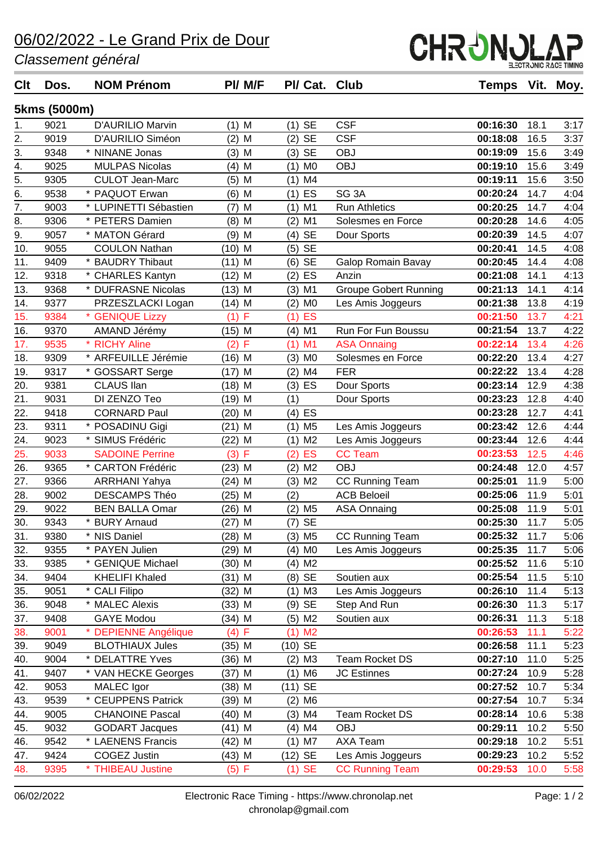## 06/02/2022 - Le Grand Prix de Dour

*Classement général*

| <b>Clt</b>                     | Dos.         | <b>NOM Prénom</b>                    | PI/ M/F  | PI/ Cat. Club         |                              | Temps Vit. Moy. |      |      |
|--------------------------------|--------------|--------------------------------------|----------|-----------------------|------------------------------|-----------------|------|------|
|                                | 5kms (5000m) |                                      |          |                       |                              |                 |      |      |
| 1.                             | 9021         | D'AURILIO Marvin                     | $(1)$ M  | $(1)$ SE              | <b>CSF</b>                   | 00:16:30        | 18.1 | 3:17 |
| 2.                             | 9019         | D'AURILIO Siméon                     | $(2)$ M  | <b>SE</b><br>(2)      | <b>CSF</b>                   | 00:18:08        | 16.5 | 3:37 |
|                                | 9348         | * NINANE Jonas                       | $(3)$ M  | <b>SE</b><br>(3)      | <b>OBJ</b>                   | 00:19:09        | 15.6 | 3:49 |
| $\frac{3}{4}$<br>$\frac{4}{5}$ | 9025         | <b>MULPAS Nicolas</b>                | $(4)$ M  | (1)<br>M <sub>0</sub> | <b>OBJ</b>                   | 00:19:10        | 15.6 | 3:49 |
|                                | 9305         | <b>CULOT Jean-Marc</b>               | $(5)$ M  | $(1)$ M4              |                              | 00:19:11        | 15.6 | 3:50 |
| $\overline{6}$ .               | 9538         | * PAQUOT Erwan                       | $(6)$ M  | $(1)$ ES              | SG <sub>3A</sub>             | 00:20:24        | 14.7 | 4:04 |
| $\overline{7}$ .               | 9003         | * LUPINETTI Sébastien                | $(7)$ M  | $(1)$ M1              | <b>Run Athletics</b>         | 00:20:25        | 14.7 | 4:04 |
| 8.                             | 9306         | * PETERS Damien                      | $(8)$ M  | $(2)$ M1              | Solesmes en Force            | 00:20:28        | 14.6 | 4:05 |
| $\overline{9}$ .               | 9057         | * MATON Gérard                       | $(9)$ M  | $(4)$ SE              | Dour Sports                  | 00:20:39        | 14.5 | 4:07 |
| 10.                            | 9055         | <b>COULON Nathan</b>                 | $(10)$ M | <b>SE</b><br>(5)      |                              | 00:20:41        | 14.5 | 4:08 |
| 11.                            | 9409         | <b>BAUDRY Thibaut</b>                | $(11)$ M | <b>SE</b><br>(6)      | Galop Romain Bavay           | 00:20:45        | 14.4 | 4:08 |
| 12.                            | 9318         | * CHARLES Kantyn                     | $(12)$ M | $(2)$ ES              | Anzin                        | 00:21:08        | 14.1 | 4:13 |
| 13.                            | 9368         | * DUFRASNE Nicolas                   | $(13)$ M | $(3)$ M1              | <b>Groupe Gobert Running</b> | 00:21:13        | 14.1 | 4:14 |
| 14.                            | 9377         | PRZESZLACKI Logan                    | $(14)$ M | M <sub>0</sub><br>(2) | Les Amis Joggeurs            | 00:21:38        | 13.8 | 4:19 |
| 15.                            | 9384         | * GENIQUE Lizzy                      | (1) F    | ES<br>(1)             |                              | 00:21:50        | 13.7 | 4:21 |
| 16.                            | 9370         | AMAND Jérémy                         | $(15)$ M | $(4)$ M1              | Run For Fun Boussu           | 00:21:54        | 13.7 | 4:22 |
| 17.                            | 9535         | <b>RICHY Aline</b>                   | (2) F    | M1<br>(1)             | <b>ASA Onnaing</b>           | 00:22:14        | 13.4 | 4:26 |
| 18.                            | 9309         | * ARFEUILLE Jérémie                  | $(16)$ M | $(3)$ MO              | Solesmes en Force            | 00:22:20        | 13.4 | 4:27 |
| 19.                            | 9317         | * GOSSART Serge                      | $(17)$ M | (2)<br>M4             | <b>FER</b>                   | 00:22:22        | 13.4 | 4:28 |
| 20.                            | 9381         | CLAUS IIan                           | $(18)$ M | $(3)$ ES              | Dour Sports                  | 00:23:14        | 12.9 | 4:38 |
| 21.                            | 9031         | DI ZENZO Teo                         | $(19)$ M | (1)                   | Dour Sports                  | 00:23:23        | 12.8 | 4:40 |
| 22.                            | 9418         | <b>CORNARD Paul</b>                  | (20) M   | $(4)$ ES              |                              | 00:23:28        | 12.7 | 4:41 |
| 23.                            | 9311         | * POSADINU Gigi                      | $(21)$ M | $(1)$ M <sub>5</sub>  | Les Amis Joggeurs            | 00:23:42        | 12.6 | 4:44 |
| 24.                            | 9023         | SIMUS Frédéric                       | (22) M   | M <sub>2</sub><br>(1) | Les Amis Joggeurs            | 00:23:44        | 12.6 | 4:44 |
| 25.                            | 9033         | <b>SADOINE Perrine</b>               | (3) F    | ES<br>(2)             | <b>CC Team</b>               | 00:23:53        | 12.5 | 4:46 |
| 26.                            | 9365         | * CARTON Frédéric                    | $(23)$ M | $(2)$ M2              | <b>OBJ</b>                   | 00:24:48        | 12.0 | 4:57 |
| 27.                            | 9366         | <b>ARRHANI Yahya</b>                 | $(24)$ M | $(3)$ M <sub>2</sub>  | <b>CC Running Team</b>       | 00:25:01        | 11.9 | 5:00 |
| 28.                            | 9002         | <b>DESCAMPS Théo</b>                 | $(25)$ M | (2)                   | <b>ACB Beloeil</b>           | 00:25:06        | 11.9 | 5:01 |
| 29.                            | 9022         | <b>BEN BALLA Omar</b>                | $(26)$ M | $(2)$ M <sub>5</sub>  | <b>ASA Onnaing</b>           | 00:25:08        | 11.9 | 5:01 |
| 30.                            | 9343         | * BURY Arnaud                        | $(27)$ M | $(7)$ SE              |                              | 00:25:30        | 11.7 | 5:05 |
| 31.                            | 9380         | * NIS Daniel                         | $(28)$ M | $(3)$ M <sub>5</sub>  | <b>CC Running Team</b>       | 00:25:32        | 11.7 | 5:06 |
| 32.                            | 9355         | * PAYEN Julien                       | $(29)$ M | $(4)$ MO              | Les Amis Joggeurs            | 00:25:35        | 11.7 | 5:06 |
| 33.                            | 9385         | <b>GENIQUE Michael</b><br>$^{\star}$ | $(30)$ M | $(4)$ M <sub>2</sub>  |                              | 00:25:52        | 11.6 | 5:10 |
| 34.                            | 9404         | <b>KHELIFI Khaled</b>                | $(31)$ M | (8) SE                | Soutien aux                  | 00:25:54        | 11.5 | 5:10 |
| 35.                            | 9051         | * CALI Filipo                        | $(32)$ M | $(1)$ M3              | Les Amis Joggeurs            | 00:26:10        | 11.4 | 5:13 |
| 36.                            | 9048         | * MALEC Alexis                       | $(33)$ M | $(9)$ SE              | Step And Run                 | 00:26:30        | 11.3 | 5:17 |
| 37.                            | 9408         | <b>GAYE Modou</b>                    | $(34)$ M | $(5)$ M2              | Soutien aux                  | 00:26:31        | 11.3 | 5:18 |
| 38.                            | 9001         | <b>DEPIENNE Angélique</b>            | (4) F    | M <sub>2</sub><br>(1) |                              | 00:26:53        | 11.1 | 5:22 |
| 39.                            | 9049         | <b>BLOTHIAUX Jules</b>               | (35) M   | (10) SE               |                              | 00:26:58        | 11.1 | 5:23 |
| 40.                            | 9004         | <b>DELATTRE Yves</b>                 | (36) M   | $(2)$ M3              | Team Rocket DS               | 00:27:10        | 11.0 | 5:25 |
| 41.                            | 9407         | * VAN HECKE Georges                  | $(37)$ M | $(1)$ M6              | <b>JC Estinnes</b>           | 00:27:24        | 10.9 | 5:28 |
| 42.                            | 9053         | MALEC Igor                           | $(38)$ M | (11) SE               |                              | 00:27:52        | 10.7 | 5:34 |
| 43.                            | 9539         | * CEUPPENS Patrick                   | (39) M   | $(2)$ M6              |                              | 00:27:54        | 10.7 | 5:34 |
| 44.                            | 9005         | <b>CHANOINE Pascal</b>               | (40) M   | $(3)$ M4              | Team Rocket DS               | 00:28:14        | 10.6 | 5:38 |
| 45.                            | 9032         | <b>GODART Jacques</b>                | (41) M   | $(4)$ M4              | <b>OBJ</b>                   | 00:29:11        | 10.2 | 5:50 |
| 46.                            | 9542         | * LAENENS Francis                    | (42) M   | $(1)$ M7              | AXA Team                     | 00:29:18        | 10.2 | 5:51 |
| 47.                            | 9424         | <b>COGEZ Justin</b>                  | (43) M   | (12) SE               | Les Amis Joggeurs            | 00:29:23        | 10.2 | 5:52 |
| 48.                            | 9395         | <b>THIBEAU Justine</b>               | (5) F    | $(1)$ SE              | <b>CC Running Team</b>       | 00:29:53        | 10.0 | 5:58 |
|                                |              |                                      |          |                       |                              |                 |      |      |